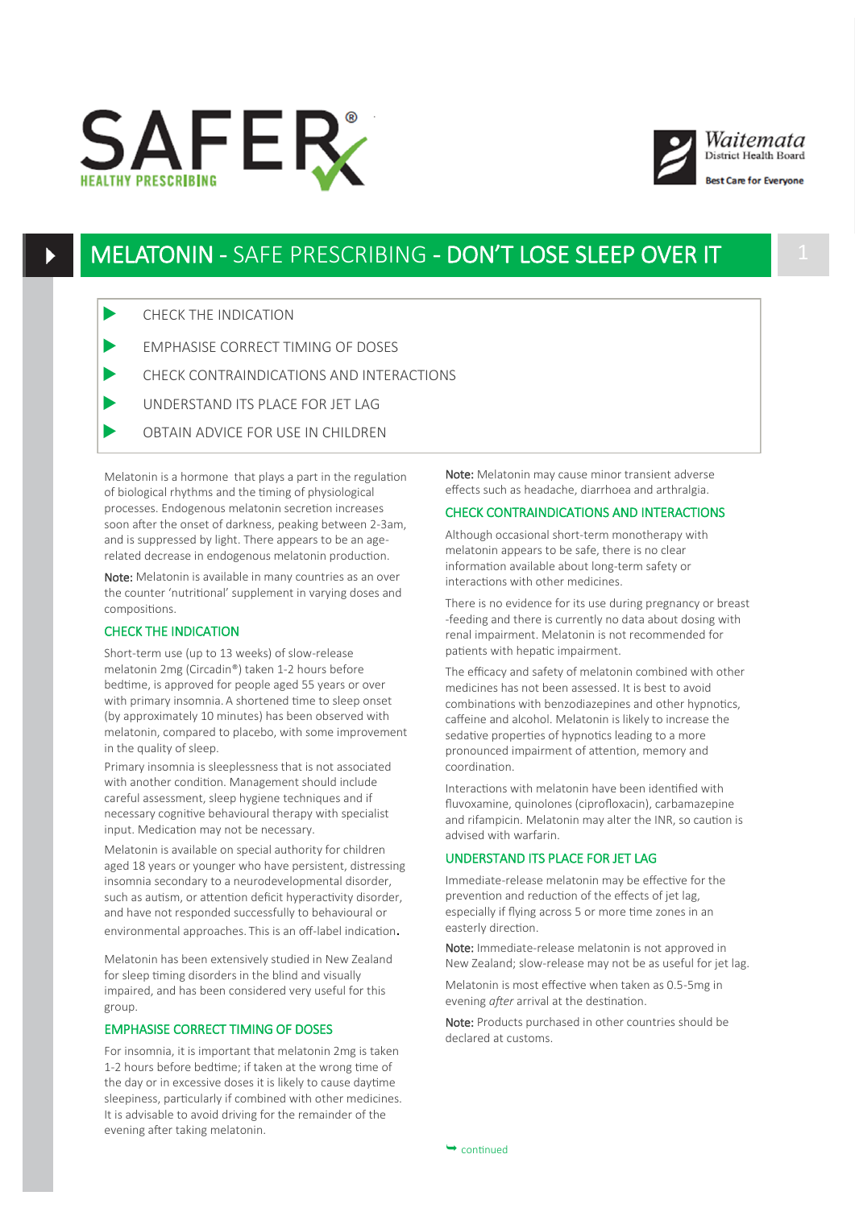



# MELATONIN - SAFE PRESCRIBING - DON'T LOSE SLEEP OVER IT 1

- CHECK THE INDICATION
- EMPHASISE CORRECT TIMING OF DOSES
- CHECK CONTRAINDICATIONS AND INTERACTIONS
- UNDERSTAND ITS PLACE FOR JET LAG
- OBTAIN ADVICE FOR USE IN CHILDREN

Melatonin is a hormone that plays a part in the regulation of biological rhythms and the timing of physiological processes. Endogenous melatonin secretion increases soon after the onset of darkness, peaking between 2-3am, and is suppressed by light. There appears to be an agerelated decrease in endogenous melatonin production.

Note: Melatonin is available in many countries as an over the counter 'nutritional' supplement in varying doses and compositions.

# CHECK THE INDICATION

Short-term use (up to 13 weeks) of slow-release melatonin 2mg (Circadin®) taken 1-2 hours before bedtime, is approved for people aged 55 years or over with primary insomnia. A shortened time to sleep onset (by approximately 10 minutes) has been observed with melatonin, compared to placebo, with some improvement in the quality of sleep.

Primary insomnia is sleeplessness that is not associated with another condition. Management should include careful assessment, sleep hygiene techniques and if necessary cognitive behavioural therapy with specialist input. Medication may not be necessary.

Melatonin is available on special authority for children aged 18 years or younger who have persistent, distressing insomnia secondary to a neurodevelopmental disorder, such as autism, or attention deficit hyperactivity disorder, and have not responded successfully to behavioural or environmental approaches. This is an off-label indication.

Melatonin has been extensively studied in New Zealand for sleep timing disorders in the blind and visually impaired, and has been considered very useful for this group.

# EMPHASISE CORRECT TIMING OF DOSES

For insomnia, it is important that melatonin 2mg is taken 1-2 hours before bedtime; if taken at the wrong time of the day or in excessive doses it is likely to cause daytime sleepiness, particularly if combined with other medicines. It is advisable to avoid driving for the remainder of the evening after taking melatonin.

Note: Melatonin may cause minor transient adverse effects such as headache, diarrhoea and arthralgia.

### CHECK CONTRAINDICATIONS AND INTERACTIONS

Although occasional short-term monotherapy with melatonin appears to be safe, there is no clear information available about long-term safety or interactions with other medicines.

There is no evidence for its use during pregnancy or breast -feeding and there is currently no data about dosing with renal impairment. Melatonin is not recommended for patients with hepatic impairment.

The efficacy and safety of melatonin combined with other medicines has not been assessed. It is best to avoid combinations with benzodiazepines and other hypnotics, caffeine and alcohol. Melatonin is likely to increase the sedative properties of hypnotics leading to a more pronounced impairment of attention, memory and coordination.

Interactions with melatonin have been identified with fluvoxamine, quinolones (ciprofloxacin), carbamazepine and rifampicin. Melatonin may alter the INR, so caution is advised with warfarin.

# UNDERSTAND ITS PLACE FOR JET LAG

Immediate-release melatonin may be effective for the prevention and reduction of the effects of jet lag, especially if flying across 5 or more time zones in an easterly direction.

Note: Immediate-release melatonin is not approved in New Zealand; slow-release may not be as useful for jet lag.

Melatonin is most effective when taken as 0.5-5mg in evening *after* arrival at the destination.

Note: Products purchased in other countries should be declared at customs.